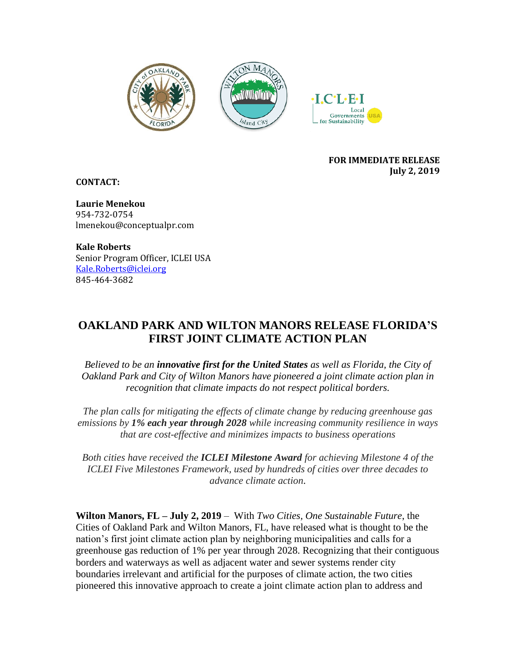





#### **FOR IMMEDIATE RELEASE July 2, 2019**

**CONTACT:** 

**Laurie Menekou** 954-732-0754 lmenekou@conceptualpr.com

**Kale Roberts** Senior Program Officer, ICLEI USA Kale.Roberts@iclei.org 845-464-3682

# **OAKLAND PARK AND WILTON MANORS RELEASE FLORIDA'S FIRST JOINT CLIMATE ACTION PLAN**

*Believed to be an innovative first for the United States as well as Florida, the City of Oakland Park and City of Wilton Manors have pioneered a joint climate action plan in recognition that climate impacts do not respect political borders.*

*The plan calls for mitigating the effects of climate change by reducing greenhouse gas emissions by 1% each year through 2028 while increasing community resilience in ways that are cost-effective and minimizes impacts to business operations*

*Both cities have received the ICLEI Milestone Award for achieving Milestone 4 of the ICLEI Five Milestones Framework, used by hundreds of cities over three decades to advance climate action*.

**Wilton Manors, FL – July 2, 2019** – With *Two Cities, One Sustainable Future*, the Cities of Oakland Park and Wilton Manors, FL, have released what is thought to be the nation's first joint climate action plan by neighboring municipalities and calls for a greenhouse gas reduction of 1% per year through 2028. Recognizing that their contiguous borders and waterways as well as adjacent water and sewer systems render city boundaries irrelevant and artificial for the purposes of climate action, the two cities pioneered this innovative approach to create a joint climate action plan to address and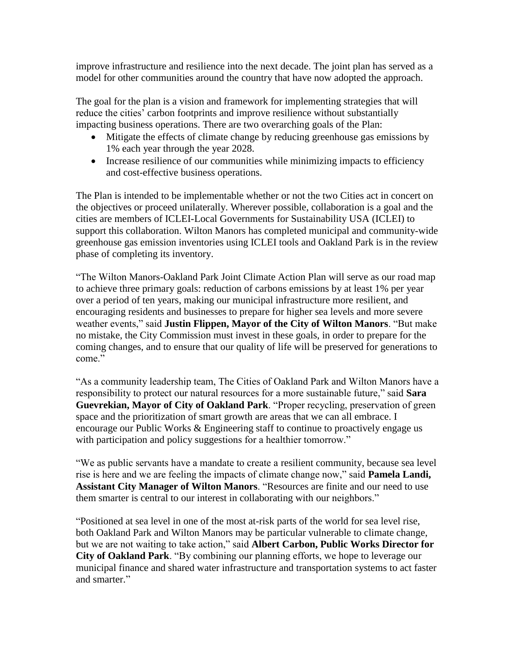improve infrastructure and resilience into the next decade. The joint plan has served as a model for other communities around the country that have now adopted the approach.

The goal for the plan is a vision and framework for implementing strategies that will reduce the cities' carbon footprints and improve resilience without substantially impacting business operations. There are two overarching goals of the Plan:

- Mitigate the effects of climate change by reducing greenhouse gas emissions by 1% each year through the year 2028.
- Increase resilience of our communities while minimizing impacts to efficiency and cost-effective business operations.

The Plan is intended to be implementable whether or not the two Cities act in concert on the objectives or proceed unilaterally. Wherever possible, collaboration is a goal and the cities are members of ICLEI-Local Governments for Sustainability USA (ICLEI) to support this collaboration. Wilton Manors has completed municipal and community-wide greenhouse gas emission inventories using ICLEI tools and Oakland Park is in the review phase of completing its inventory.

"The Wilton Manors-Oakland Park Joint Climate Action Plan will serve as our road map to achieve three primary goals: reduction of carbons emissions by at least 1% per year over a period of ten years, making our municipal infrastructure more resilient, and encouraging residents and businesses to prepare for higher sea levels and more severe weather events," said **Justin Flippen, Mayor of the City of Wilton Manors**. "But make no mistake, the City Commission must invest in these goals, in order to prepare for the coming changes, and to ensure that our quality of life will be preserved for generations to come."

"As a community leadership team, The Cities of Oakland Park and Wilton Manors have a responsibility to protect our natural resources for a more sustainable future," said **Sara Guevrekian, Mayor of City of Oakland Park**. "Proper recycling, preservation of green space and the prioritization of smart growth are areas that we can all embrace. I encourage our Public Works & Engineering staff to continue to proactively engage us with participation and policy suggestions for a healthier tomorrow."

"We as public servants have a mandate to create a resilient community, because sea level rise is here and we are feeling the impacts of climate change now," said **Pamela Landi, Assistant City Manager of Wilton Manors**. "Resources are finite and our need to use them smarter is central to our interest in collaborating with our neighbors."

"Positioned at sea level in one of the most at-risk parts of the world for sea level rise, both Oakland Park and Wilton Manors may be particular vulnerable to climate change, but we are not waiting to take action," said **Albert Carbon, Public Works Director for City of Oakland Park**. "By combining our planning efforts, we hope to leverage our municipal finance and shared water infrastructure and transportation systems to act faster and smarter."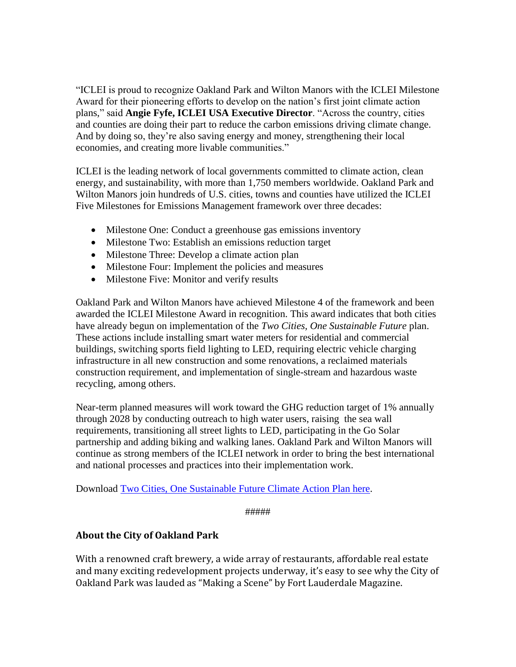"ICLEI is proud to recognize Oakland Park and Wilton Manors with the ICLEI Milestone Award for their pioneering efforts to develop on the nation's first joint climate action plans," said **Angie Fyfe, ICLEI USA Executive Director**. "Across the country, cities and counties are doing their part to reduce the carbon emissions driving climate change. And by doing so, they're also saving energy and money, strengthening their local economies, and creating more livable communities."

ICLEI is the leading network of local governments committed to climate action, clean energy, and sustainability, with more than 1,750 members worldwide. Oakland Park and Wilton Manors join hundreds of U.S. cities, towns and counties have utilized the ICLEI Five Milestones for Emissions Management framework over three decades:

- Milestone One: Conduct a greenhouse gas emissions inventory
- Milestone Two: Establish an emissions reduction target
- Milestone Three: Develop a climate action plan
- Milestone Four: Implement the policies and measures
- Milestone Five: Monitor and verify results

Oakland Park and Wilton Manors have achieved Milestone 4 of the framework and been awarded the ICLEI Milestone Award in recognition. This award indicates that both cities have already begun on implementation of the *Two Cities, One Sustainable Future* plan. These actions include installing smart water meters for residential and commercial buildings, switching sports field lighting to LED, requiring electric vehicle charging infrastructure in all new construction and some renovations, a reclaimed materials construction requirement, and implementation of single-stream and hazardous waste recycling, among others.

Near-term planned measures will work toward the GHG reduction target of 1% annually through 2028 by conducting outreach to high water users, raising the sea wall requirements, transitioning all street lights to LED, participating in the Go Solar partnership and adding biking and walking lanes. Oakland Park and Wilton Manors will continue as strong members of the ICLEI network in order to bring the best international and national processes and practices into their implementation work.

Download [Two Cities, One Sustainable Future Climate Action Plan here.](https://www.wiltonmanors.com/658/Joint-Climate-Change-Action-Plan-with-Oa)

```
#####
```
### **About the City of Oakland Park**

With a renowned craft brewery, a wide array of restaurants, affordable real estate and many exciting redevelopment projects underway, it's easy to see why the City of Oakland Park was lauded as "Making a Scene" by Fort Lauderdale Magazine.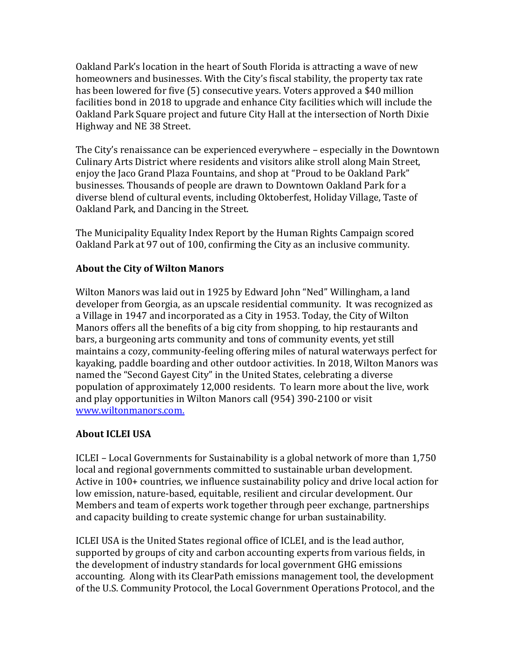Oakland Park's location in the heart of South Florida is attracting a wave of new homeowners and businesses. With the City's fiscal stability, the property tax rate has been lowered for five (5) consecutive years. Voters approved a \$40 million facilities bond in 2018 to upgrade and enhance City facilities which will include the Oakland Park Square project and future City Hall at the intersection of North Dixie Highway and NE 38 Street.

The City's renaissance can be experienced everywhere – especially in the Downtown Culinary Arts District where residents and visitors alike stroll along Main Street, enjoy the Jaco Grand Plaza Fountains, and shop at "Proud to be Oakland Park" businesses. Thousands of people are drawn to Downtown Oakland Park for a diverse blend of cultural events, including Oktoberfest, Holiday Village, Taste of Oakland Park, and Dancing in the Street.

The Municipality Equality Index Report by the Human Rights Campaign scored Oakland Park at 97 out of 100, confirming the City as an inclusive community.

### **About the City of Wilton Manors**

Wilton Manors was laid out in 1925 by Edward John "Ned" Willingham, a land developer from Georgia, as an upscale residential community. It was recognized as a Village in 1947 and incorporated as a City in 1953. Today, the City of Wilton Manors offers all the benefits of a big city from shopping, to hip restaurants and bars, a burgeoning arts community and tons of community events, yet still maintains a cozy, community-feeling offering miles of natural waterways perfect for kayaking, paddle boarding and other outdoor activities. In 2018, Wilton Manors was named the "Second Gayest City" in the United States, celebrating a diverse population of approximately 12,000 residents. To learn more about the live, work and play opportunities in Wilton Manors call (954) 390-2100 or visit [www.wiltonmanors.com.](http://bit.ly/WiltonM)

## **About ICLEI USA**

ICLEI – Local Governments for Sustainability is a global network of more than 1,750 local and regional governments committed to sustainable urban development. Active in 100+ countries, we influence sustainability policy and drive local action for low emission, nature-based, equitable, resilient and circular development. Our Members and team of experts work together through peer exchange, partnerships and capacity building to create systemic change for urban sustainability.

ICLEI USA is the United States regional office of ICLEI, and is the lead author, supported by groups of city and carbon accounting experts from various fields, in the development of industry standards for local government GHG emissions accounting. Along with its ClearPath emissions management tool, the development of the U.S. Community Protocol, the Local Government Operations Protocol, and the